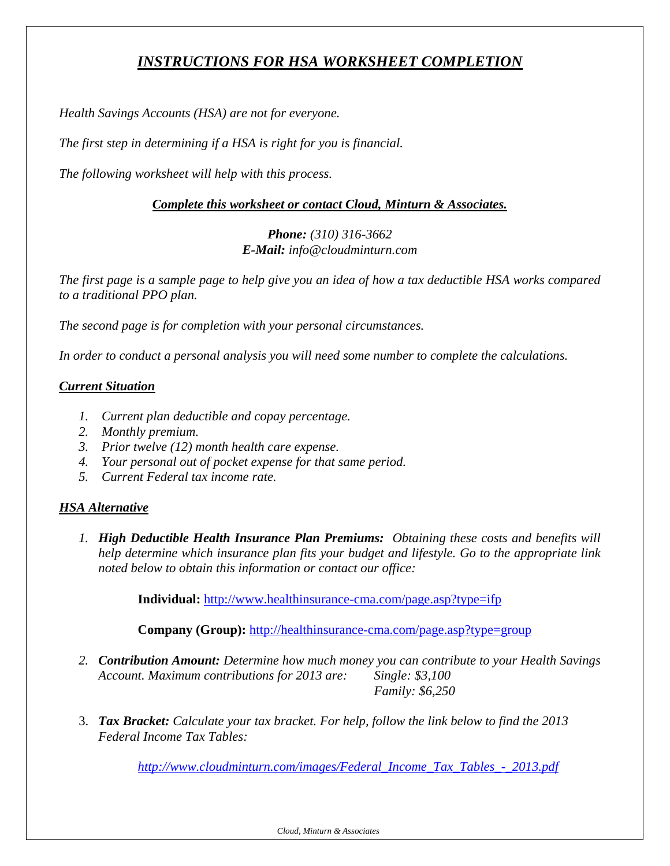# *INSTRUCTIONS FOR HSA WORKSHEET COMPLETION*

*Health Savings Accounts (HSA) are not for everyone.* 

*The first step in determining if a HSA is right for you is financial.* 

*The following worksheet will help with this process.* 

## *Complete this worksheet or contact Cloud, Minturn & Associates.*

# *Phone: (310) 316-3662 E-Mail: info@cloudminturn.com*

*The first page is a sample page to help give you an idea of how a tax deductible HSA works compared to a traditional PPO plan.* 

*The second page is for completion with your personal circumstances.* 

*In order to conduct a personal analysis you will need some number to complete the calculations.* 

#### *Current Situation*

- *1. Current plan deductible and copay percentage.*
- *2. Monthly premium.*
- *3. Prior twelve (12) month health care expense.*
- *4. Your personal out of pocket expense for that same period.*
- *5. Current Federal tax income rate.*

## *HSA Alternative*

*1. High Deductible Health Insurance Plan Premiums: Obtaining these costs and benefits will help determine which insurance plan fits your budget and lifestyle. Go to the appropriate link noted below to obtain this information or contact our office:* 

**Individual:** http://www.healthinsurance-cma.com/page.asp?type=ifp

**Company (Group):** http://healthinsurance-cma.com/page.asp?type=group

- *2. Contribution Amount: Determine how much money you can contribute to your Health Savings Account. Maximum contributions for 2013 are: Single: \$3,100 Family: \$6,250*
- 3. *Tax Bracket: Calculate your tax bracket. For help, follow the link below to find the 2013 Federal Income Tax Tables:*

*http://www.cloudminturn.com/images/Federal\_Income\_Tax\_Tables\_-\_2013.pdf*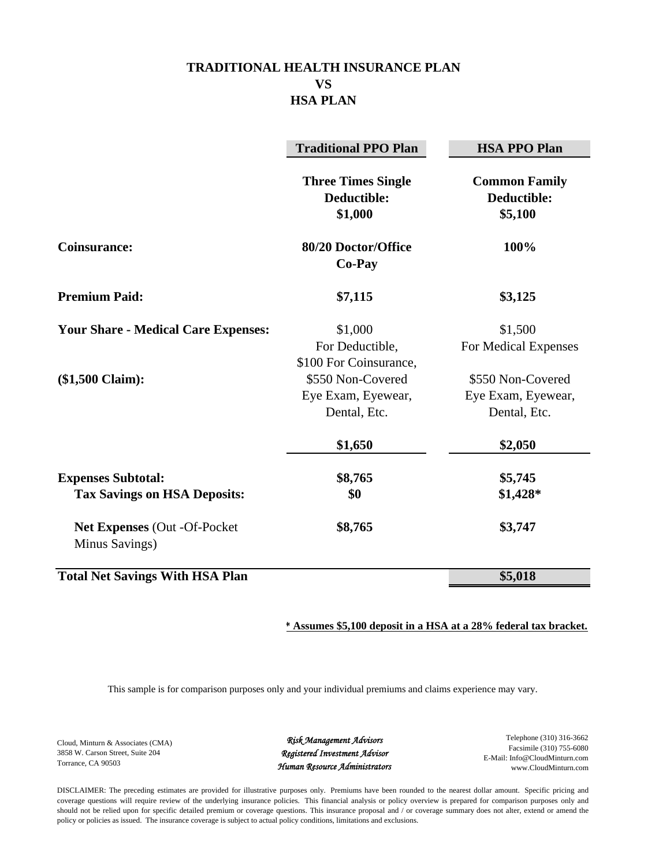# **TRADITIONAL HEALTH INSURANCE PLAN VS HSA PLAN**

|                                                                  | <b>Traditional PPO Plan</b>                             | <b>HSA PPO Plan</b>                                     |
|------------------------------------------------------------------|---------------------------------------------------------|---------------------------------------------------------|
|                                                                  | <b>Three Times Single</b><br>Deductible:<br>\$1,000     | <b>Common Family</b><br>Deductible:<br>\$5,100          |
| <b>Coinsurance:</b>                                              | 80/20 Doctor/Office<br>Co-Pay                           | 100%                                                    |
| <b>Premium Paid:</b>                                             | \$7,115                                                 | \$3,125                                                 |
| <b>Your Share - Medical Care Expenses:</b>                       | \$1,000<br>For Deductible,<br>\$100 For Coinsurance,    | \$1,500<br>For Medical Expenses                         |
| $($1,500$ Claim):                                                | \$550 Non-Covered<br>Eye Exam, Eyewear,<br>Dental, Etc. | \$550 Non-Covered<br>Eye Exam, Eyewear,<br>Dental, Etc. |
|                                                                  | \$1,650                                                 | \$2,050                                                 |
| <b>Expenses Subtotal:</b><br><b>Tax Savings on HSA Deposits:</b> | \$8,765<br>\$0                                          | \$5,745<br>\$1,428*                                     |
| Net Expenses (Out -Of-Pocket<br>Minus Savings)                   | \$8,765                                                 | \$3,747                                                 |
| <b>Total Net Savings With HSA Plan</b>                           |                                                         | \$5,018                                                 |

#### **\* Assumes \$5,100 deposit in a HSA at a 28% federal tax bracket.**

This sample is for comparison purposes only and your individual premiums and claims experience may vary.

Cloud, Minturn & Associates (CMA) 3858 W. Carson Street, Suite 204 Torrance, CA 90503

*Risk Management Advisors Registered Investment Advisor Human Resource Administrators*

Telephone (310) 316-3662 Facsimile (310) 755-6080 E-Mail: Info@CloudMinturn.com www.CloudMinturn.com

DISCLAIMER: The preceding estimates are provided for illustrative purposes only. Premiums have been rounded to the nearest dollar amount. Specific pricing and coverage questions will require review of the underlying insurance policies. This financial analysis or policy overview is prepared for comparison purposes only and should not be relied upon for specific detailed premium or coverage questions. This insurance proposal and / or coverage summary does not alter, extend or amend the policy or policies as issued. The insurance coverage is subject to actual policy conditions, limitations and exclusions.